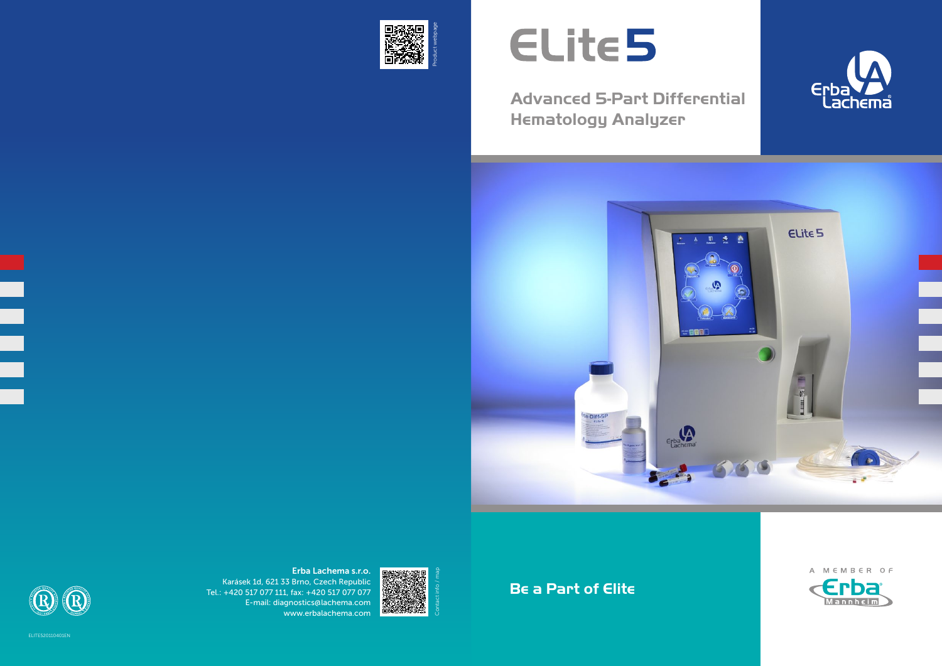**Advanced 5-Part Differential Hematology Analyzer**





**Be a Part of Elite**

ייי







Erba Lachema s.r.o. Karásek 1d, 621 33 Brno, Czech Republic Tel.: +420 517 077 111, fax: +420 517 077 077 E-mail: diagnostics@lachema.com www.erbalachema.com